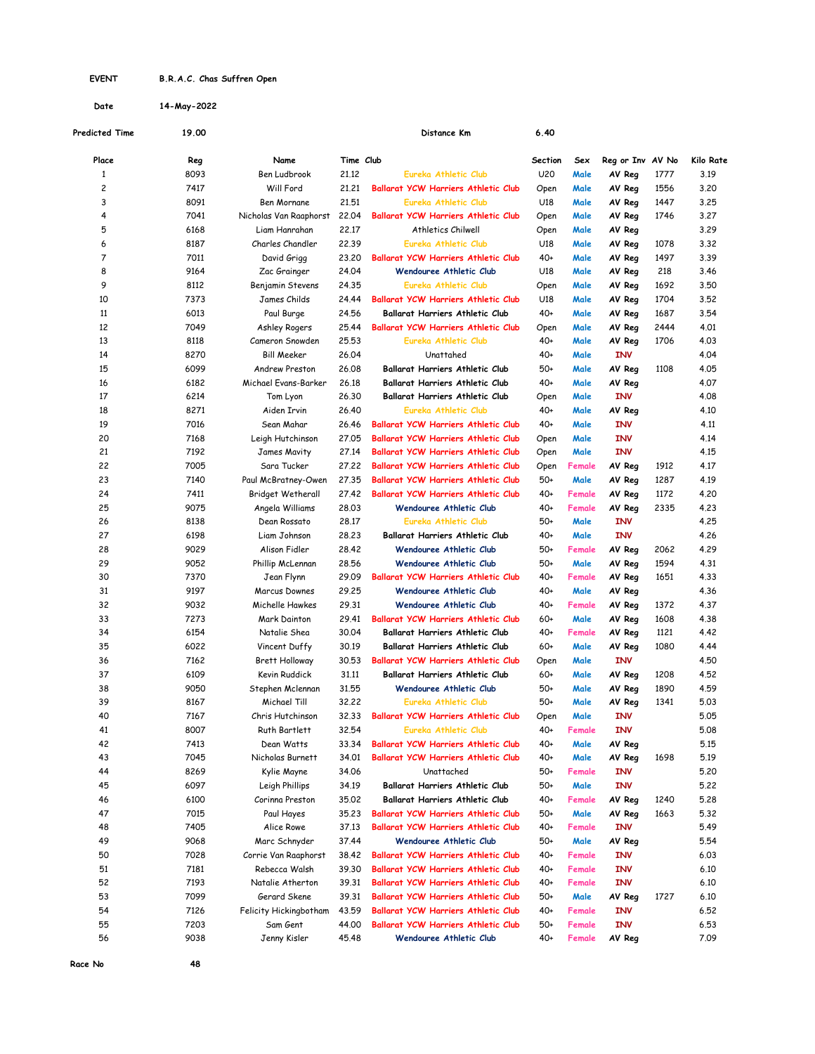## EVENT B.R.A.C. Chas Suffren Open

Date 14-May-2022

| Predicted Time | 19.00        |                             |                | Distance Km                                                           | 6.40       |                |                  |      |           |
|----------------|--------------|-----------------------------|----------------|-----------------------------------------------------------------------|------------|----------------|------------------|------|-----------|
| Place          | Reg          | Name                        | Time Club      |                                                                       | Section    | Sex            | Reg or Inv AV No |      | Kilo Rate |
| $\mathbf{1}$   | 8093         | Ben Ludbrook                | 21,12          | Eureka Athletic Club                                                  | U20        | Male           | AV Reg           | 1777 | 3.19      |
| 2              | 7417         | Will Ford                   | 21,21          | <b>Ballarat YCW Harriers Athletic Club</b>                            | Open       | Male           | AV Reg           | 1556 | 3.20      |
| 3              | 8091         | Ben Mornane                 | 21,51          | Eureka Athletic Club                                                  | U18        | Male           | AV Reg           | 1447 | 3.25      |
| 4              | 7041         | Nicholas Van Raaphorst      | 22,04          | <b>Ballarat YCW Harriers Athletic Club</b>                            | Open       | Male           | AV Reg           | 1746 | 3.27      |
| 5              | 6168         | Liam Hanrahan               | 22,17          | Athletics Chilwell                                                    | Open       | Male           | AV Reg           |      | 3.29      |
| 6              | 8187         | Charles Chandler            | 22.39          | Eureka Athletic Club                                                  | U18        | Male           | AV Reg           | 1078 | 3.32      |
| 7              | 7011         | David Grigg                 | 23,20          | <b>Ballarat YCW Harriers Athletic Club</b>                            | $40+$      | Male           | AV Reg           | 1497 | 3.39      |
| 8              | 9164         | Zac Grainger                | 24.04          | Wendouree Athletic Club                                               | U18        | Male           | AV Reg           | 218  | 3.46      |
| 9              | 8112         | Benjamin Stevens            | 24.35          | Eureka Athletic Club                                                  | Open       | Male           | AV Reg           | 1692 | 3.50      |
| 10             | 7373         | James Childs                | 24.44          | <b>Ballarat YCW Harriers Athletic Club</b>                            | U18        | Male           | AV Reg           | 1704 | 3.52      |
| 11             | 6013         | Paul Burge                  | 24.56          | Ballarat Harriers Athletic Club                                       | $40+$      | Male           | AV Reg           | 1687 | 3.54      |
| 12             | 7049         | Ashley Rogers               | 25,44          | <b>Ballarat YCW Harriers Athletic Club</b>                            | Open       | Male           | AV Reg           | 2444 | 4.01      |
| 13             | 8118         | Cameron Snowden             | 25.53          | Eureka Athletic Club                                                  | $40+$      | Male           | AV Reg           | 1706 | 4.03      |
| 14             | 8270         | Bill Meeker                 | 26,04          | Unattahed                                                             | $40+$      | Male           | INV              |      | 4.04      |
| 15             | 6099         | Andrew Preston              | 26,08          | Ballarat Harriers Athletic Club                                       | 50+        | Male           | AV Reg           | 1108 | 4.05      |
| 16             | 6182         | Michael Evans-Barker        | 26,18          | Ballarat Harriers Athletic Club                                       | 40+        | Male           | AV Reg           |      | 4.07      |
| 17             | 6214         | Tom Lyon                    | 26,30          | Ballarat Harriers Athletic Club                                       | Open       | Male           | INV              |      | 4.08      |
| 18             | 8271         | Aiden Irvin                 | 26,40          | Eureka Athletic Club                                                  | $40+$      | Male           | AV Reg           |      | 4.10      |
| 19             | 7016         | Sean Mahar                  | 26.46          | <b>Ballarat YCW Harriers Athletic Club</b>                            | $40+$      | Male           | INV              |      | 4.11      |
| 20             | 7168         | Leigh Hutchinson            | 27,05          | <b>Ballarat YCW Harriers Athletic Club</b>                            | Open       | Male           | INV              |      | 4.14      |
| 21             | 7192         | <b>James Mavity</b>         | 27,14          | <b>Ballarat YCW Harriers Athletic Club</b>                            | Open       | Male           | INV              |      | 4.15      |
| 22             | 7005         | Sara Tucker                 | 27,22          | <b>Ballarat YCW Harriers Athletic Club</b>                            | Open       | Female         | AV Reg           | 1912 | 4.17      |
| 23             | 7140         | Paul McBratney-Owen         | 27,35          | <b>Ballarat YCW Harriers Athletic Club</b>                            | 50+        | Male           | AV Reg           | 1287 | 4.19      |
| 24             | 7411         | Bridget Wetherall           | 27,42          | <b>Ballarat YCW Harriers Athletic Club</b>                            | 40+        | Female         | AV Reg           | 1172 | 4.20      |
| 25             | 9075         | Angela Williams             | 28,03          | Wendouree Athletic Club                                               | 40+        | Female         | AV Reg           | 2335 | 4.23      |
| 26             | 8138         | Dean Rossato                | 28,17          | Eureka Athletic Club                                                  | 50+        | Male           | INV              |      | 4.25      |
| 27             | 6198         | Liam Johnson                | 28.23          | Ballarat Harriers Athletic Club                                       | 40+        | Male           | INV              |      | 4.26      |
| 28             | 9029         | Alison Fidler               | 28.42          | Wendouree Athletic Club                                               | 50+        | Female         | AV Reg           | 2062 | 4.29      |
| 29             | 9052         | Phillip McLennan            | 28.56          | <b>Wendouree Athletic Club</b>                                        | 50+        | Male           | AV Reg           | 1594 | 4.31      |
| 30             | 7370         | Jean Flynn                  | 29.09          | <b>Ballarat YCW Harriers Athletic Club</b>                            | 40+        | Female         | AV Reg           | 1651 | 4.33      |
| 31             | 9197         | Marcus Downes               | 29.25          | <b>Wendouree Athletic Club</b>                                        | $40+$      | Male           | AV Reg           |      | 4.36      |
| 32             | 9032         | Michelle Hawkes             | 29.31          | <b>Wendouree Athletic Club</b>                                        | 40+        | Female         | AV Reg           | 1372 | 4.37      |
| 33             | 7273         | Mark Dainton                | 29.41          | <b>Ballarat YCW Harriers Athletic Club</b>                            | $60+$      | Male           | AV Reg           | 1608 | 4.38      |
| 34             | 6154         | Natalie Shea                | 30,04          | Ballarat Harriers Athletic Club                                       | $40+$      | Female         | AV Reg           | 1121 | 4.42      |
| 35             | 6022         | Vincent Duffy               | 30.19          | Ballarat Harriers Athletic Club                                       | $60+$      | Male           | AV Reg           | 1080 | 4.44      |
| 36             | 7162         | Brett Holloway              | 30.53          | <b>Ballarat YCW Harriers Athletic Club</b>                            | Open       | Male           | INV              |      | 4.50      |
| 37             | 6109         | Kevin Ruddick               | 31,11          | Ballarat Harriers Athletic Club                                       | $60+$      | Male           | AV Reg           | 1208 | 4.52      |
| 38             | 9050         | Stephen Mclennan            | 31.55          | <b>Wendouree Athletic Club</b>                                        | 50+        | Male           | AV Reg           | 1890 | 4.59      |
| 39             | 8167         | Michael Till                | 32,22          | Eureka Athletic Club                                                  | 50+        | Male           | AV Rea           | 1341 | 5.03      |
| 40             | 7167         | Chris Hutchinson            | 32.33          | Ballarat YCW Harriers Athletic Club                                   | Open       | Male           | <b>INV</b>       |      | 5.05      |
| 41             | 8007         | Ruth Bartlett               | 32.54          | Eureka Athletic Club                                                  | 40+        | Female         | INV              |      | 5.08      |
| 42             | 7413         | Dean Watts                  | 33.34          | Ballarat YCW Harriers Athletic Club                                   | 40+        | Male           | AV Reg           |      | 5.15      |
| 43             | 7045         | Nicholas Burnett            | 34.01          | Ballarat YCW Harriers Athletic Club                                   | $40+$      | Male           | AV Reg           | 1698 | 5.19      |
| 44             | 8269         | Kylie Mayne                 | 34.06          | Unattached                                                            | 50+        | Female         | INV              |      | 5.20      |
| 45             | 6097         | Leigh Phillips              | 34.19          | Ballarat Harriers Athletic Club                                       | 50+        | Male           | INV              |      | 5.22      |
| 46             | 6100         | Corinna Preston             | 35.02          | Ballarat Harriers Athletic Club                                       | 40+        | Female         | AV Reg           | 1240 | 5.28      |
| 47             | 7015         |                             | 35.23          | <b>Ballarat YCW Harriers Athletic Club</b>                            | 50+        | Male           | AV Reg           | 1663 | 5.32      |
|                |              | Paul Hayes                  |                |                                                                       |            |                |                  |      |           |
| 48<br>49       | 7405<br>9068 | Alice Rowe<br>Marc Schnyder | 37.13<br>37.44 | Ballarat YCW Harriers Athletic Club<br><b>Wendouree Athletic Club</b> | 40+<br>50+ | Female<br>Male | INV              |      | 5.49      |
|                |              |                             |                |                                                                       |            |                | AV Reg           |      | 5.54      |
| 50             | 7028         | Corrie Van Raaphorst        | 38.42          | Ballarat YCW Harriers Athletic Club                                   | 40+        | Female         | INV              |      | 6.03      |
| 51             | 7181         | Rebecca Walsh               | 39.30          | Ballarat YCW Harriers Athletic Club                                   | $40+$      | Female         | INV              |      | 6.10      |
| 52             | 7193         | Natalie Atherton            | 39.31          | Ballarat YCW Harriers Athletic Club                                   | 40+        | Female         | INV              |      | 6.10      |
| 53             | 7099         | Gerard Skene                | 39.31          | Ballarat YCW Harriers Athletic Club                                   | 50+        | Male           | AV Reg           | 1727 | 6.10      |
| 54             | 7126         | Felicity Hickingbotham      | 43.59          | Ballarat YCW Harriers Athletic Club                                   | 40+        | Female         | INV              |      | 6.52      |
| 55             | 7203         | Sam Gent                    | 44.00          | Ballarat YCW Harriers Athletic Club                                   | $50+$      | Female         | INV              |      | 6.53      |
| 56             | 9038         | Jenny Kisler                | 45.48          | Wendouree Athletic Club                                               | $40+$      | Female         | AV Reg           |      | 7.09      |